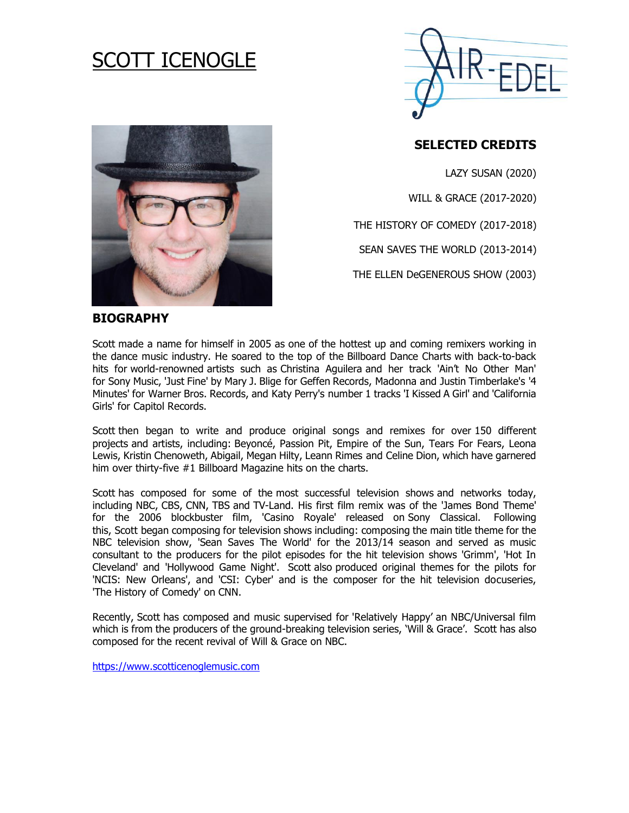# SCOTT ICENOGLE





# **SELECTED CREDITS**

LAZY SUSAN (2020) WILL & GRACE (2017-2020) THE HISTORY OF COMEDY (2017-2018) SEAN SAVES THE WORLD (2013-2014)

THE ELLEN DeGENEROUS SHOW (2003)

## **BIOGRAPHY**

Scott made a name for himself in 2005 as one of the hottest up and coming remixers working in the dance music industry. He soared to the top of the Billboard Dance Charts with back-to-back hits for world-renowned artists such as Christina Aguilera and her track 'Ain't No Other Man' for Sony Music, 'Just Fine' by Mary J. Blige for Geffen Records, Madonna and Justin Timberlake's '4 Minutes' for Warner Bros. Records, and Katy Perry's number 1 tracks 'I Kissed A Girl' and 'California Girls' for Capitol Records.

Scott then began to write and produce original songs and remixes for over 150 different projects and artists, including: Beyoncé, Passion Pit, Empire of the Sun, Tears For Fears, Leona Lewis, Kristin Chenoweth, Abigail, Megan Hilty, Leann Rimes and Celine Dion, which have garnered him over thirty-five #1 Billboard Magazine hits on the charts.

Scott has composed for some of the most successful television shows and networks today, including NBC, CBS, CNN, TBS and TV-Land. His first film remix was of the 'James Bond Theme' for the 2006 blockbuster film, 'Casino Royale' released on Sony Classical. Following this, Scott began composing for television shows including: composing the main title theme for the NBC television show, 'Sean Saves The World' for the 2013/14 season and served as music consultant to the producers for the pilot episodes for the hit television shows 'Grimm', 'Hot In Cleveland' and 'Hollywood Game Night'. Scott also produced original themes for the pilots for 'NCIS: New Orleans', and 'CSI: Cyber' and is the composer for the hit television docuseries, 'The History of Comedy' on CNN.

Recently, Scott has composed and music supervised for 'Relatively Happy' an NBC/Universal film which is from the producers of the ground-breaking television series, 'Will & Grace'. Scott has also composed for the recent revival of Will & Grace on NBC.

[https://www.scotticenoglemusic.com](https://www.scotticenoglemusic.com/)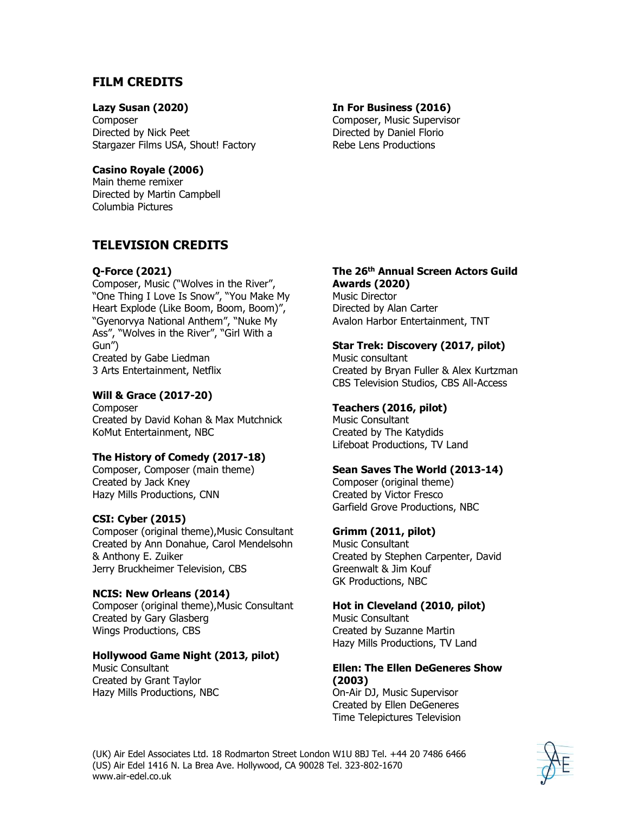# **FILM CREDITS**

## **Lazy Susan (2020)**

**Composer** Directed by Nick Peet Stargazer Films USA, Shout! Factory

#### **Casino Royale (2006)**

Main theme remixer Directed by Martin Campbell Columbia Pictures

# **TELEVISION CREDITS**

#### **Q-Force (2021)**

Composer, Music ("Wolves in the River", "One Thing I Love Is Snow", "You Make My Heart Explode (Like Boom, Boom, Boom)", "Gyenorvya National Anthem", "Nuke My Ass", "Wolves in the River", "Girl With a Gun") Created by Gabe Liedman 3 Arts Entertainment, Netflix

## **Will & Grace (2017-20)**

Composer Created by David Kohan & Max Mutchnick KoMut Entertainment, NBC

## **The History of Comedy (2017-18)**

Composer, Composer (main theme) Created by Jack Kney Hazy Mills Productions, CNN

## **CSI: Cyber (2015)**

Composer (original theme),Music Consultant Created by Ann Donahue, Carol Mendelsohn & Anthony E. Zuiker Jerry Bruckheimer Television, CBS

## **NCIS: New Orleans (2014)**

Composer (original theme),Music Consultant Created by Gary Glasberg Wings Productions, CBS

## **Hollywood Game Night (2013, pilot)**

Music Consultant Created by Grant Taylor Hazy Mills Productions, NBC

#### **In For Business (2016)**

Composer, Music Supervisor Directed by Daniel Florio Rebe Lens Productions

#### **The 26th Annual Screen Actors Guild Awards (2020)**

Music Director Directed by Alan Carter Avalon Harbor Entertainment, TNT

## **Star Trek: Discovery (2017, pilot)**

Music consultant Created by Bryan Fuller & Alex Kurtzman CBS Television Studios, CBS All-Access

## **Teachers (2016, pilot)**

Music Consultant Created by The Katydids Lifeboat Productions, TV Land

#### **Sean Saves The World (2013-14)**

Composer (original theme) Created by Victor Fresco Garfield Grove Productions, NBC

## **Grimm (2011, pilot)**

Music Consultant Created by Stephen Carpenter, David Greenwalt & Jim Kouf GK Productions, NBC

#### **Hot in Cleveland (2010, pilot)**

Music Consultant Created by Suzanne Martin Hazy Mills Productions, TV Land

#### **Ellen: The Ellen DeGeneres Show (2003)**

On-Air DJ, Music Supervisor Created by Ellen DeGeneres Time Telepictures Television

(UK) Air Edel Associates Ltd. 18 Rodmarton Street London W1U 8BJ Tel. +44 20 7486 6466 (US) Air Edel 1416 N. La Brea Ave. Hollywood, CA 90028 Tel. 323-802-1670 www.air-edel.co.uk